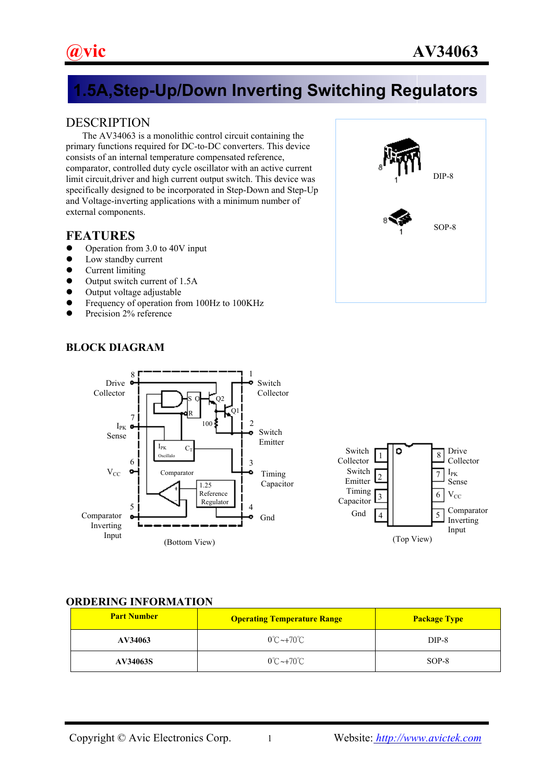# **1.5A,Step-Up/Down Inverting Switching Regulators**

# **DESCRIPTION**

 The AV34063 is a monolithic control circuit containing the primary functions required for DC-to-DC converters. This device consists of an internal temperature compensated reference, comparator, controlled duty cycle oscillator with an active current limit circuit,driver and high current output switch. This device was specifically designed to be incorporated in Step-Down and Step-Up and Voltage-inverting applications with a minimum number of external components.

# **FEATURES**

- $\bullet$  Operation from 3.0 to 40V input
- $\bullet$  Low standby current
- $\bullet$  Current limiting
- $\bullet$  Output switch current of 1.5A
- $\bullet$  Output voltage adjustable
- Frequency of operation from 100Hz to 100KHz
- Precision 2% reference



# **BLOCK DIAGRAM**





#### **ORDERING INFORMATION**

| <b>Part Number</b> | <b>Operating Temperature Range</b> | <b>Package Type</b> |
|--------------------|------------------------------------|---------------------|
| AV34063            | $0^{\circ}$ C ~+70 $^{\circ}$ C    | $DIP-8$             |
| AV34063S           | $0^{\circ}$ C ~+70 $^{\circ}$ C    | $SOP-8$             |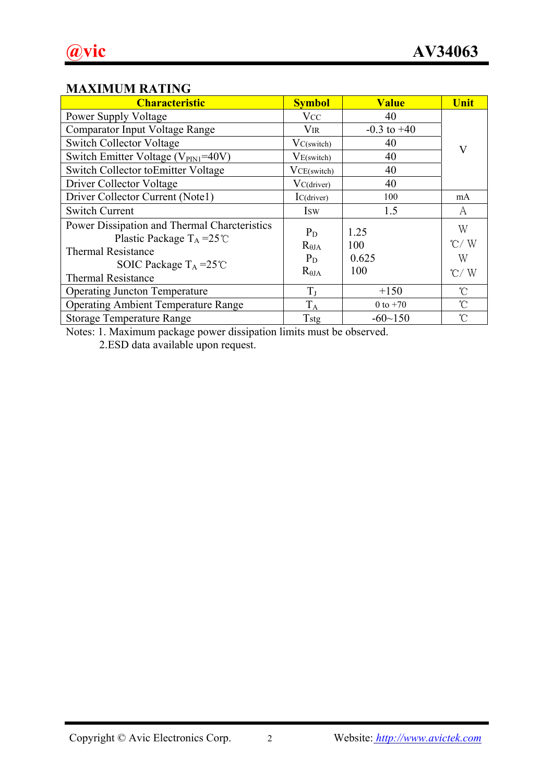# **MAXIMUM RATING**

| <b>Characteristic</b>                                                                                                                                                             | <b>Symbol</b>                                        | <b>Value</b>                | Unit                                      |
|-----------------------------------------------------------------------------------------------------------------------------------------------------------------------------------|------------------------------------------------------|-----------------------------|-------------------------------------------|
| Power Supply Voltage                                                                                                                                                              | <b>V</b> cc                                          | 40                          |                                           |
| Comparator Input Voltage Range                                                                                                                                                    | Vir                                                  | $-0.3$ to $+40$             |                                           |
| <b>Switch Collector Voltage</b>                                                                                                                                                   | VC(switch)                                           | 40                          | V                                         |
| Switch Emitter Voltage (V <sub>PIN1</sub> =40V)                                                                                                                                   | $V_{E(switch)}$                                      | 40                          |                                           |
| Switch Collector toEmitter Voltage                                                                                                                                                | $VCE$ (switch)                                       | 40                          |                                           |
| Driver Collector Voltage                                                                                                                                                          | VC(driver)                                           | 40                          |                                           |
| Driver Collector Current (Note1)                                                                                                                                                  | IC(driver)                                           | 100                         | mA                                        |
| <b>Switch Current</b>                                                                                                                                                             | <b>Isw</b>                                           | 1.5                         | A                                         |
| Power Dissipation and Thermal Charcteristics<br>Plastic Package $T_A = 25^{\circ}C$<br><b>Thermal Resistance</b><br>SOIC Package $T_A = 25^{\circ}C$<br><b>Thermal Resistance</b> | $P_D$<br>$R_{\theta JA}$<br>$P_D$<br>$R_{\theta JA}$ | 1.25<br>100<br>0.625<br>100 | W<br>$\degree$ C/W<br>W<br>$^{\circ}$ C/W |
| <b>Operating Juncton Temperature</b>                                                                                                                                              | $T_{J}$                                              | $+150$                      | $\mathcal{C}$                             |
| <b>Operating Ambient Temperature Range</b>                                                                                                                                        | $T_A$                                                | 0 to $+70$                  | $\mathcal{C}$                             |
| <b>Storage Temperature Range</b>                                                                                                                                                  | Tstg                                                 | $-60$ ~150                  | $\hat{C}$                                 |

Notes: 1. Maximum package power dissipation limits must be observed.

2.ESD data available upon request.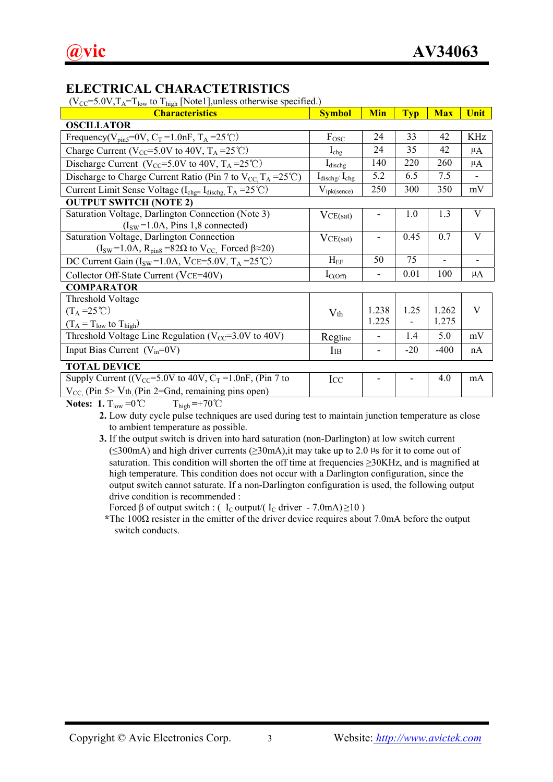# **ELECTRICAL CHARACTETRISTICS**

 $(V_{CC} = 5.0V, T_A = T_{low}$  to  $T_{high}$  [Note1], unless otherwise specified.)

| <b>Characteristics</b>                                                                                                                                                                                                                                                                                                             | <b>Symbol</b>                      | <b>Min</b> | <b>Typ</b>               | <b>Max</b>     | <b>Unit</b>              |
|------------------------------------------------------------------------------------------------------------------------------------------------------------------------------------------------------------------------------------------------------------------------------------------------------------------------------------|------------------------------------|------------|--------------------------|----------------|--------------------------|
| <b>OSCILLATOR</b>                                                                                                                                                                                                                                                                                                                  |                                    |            |                          |                |                          |
| Frequency( $V_{pin5}$ =0V, $C_T$ =1.0nF, $T_A$ =25°C)                                                                                                                                                                                                                                                                              | $F_{\rm{OSC}}$                     | 24         | 33                       | 42             | KHz                      |
| Charge Current ( $V_{CC}$ =5.0V to 40V, T <sub>A</sub> =25°C)                                                                                                                                                                                                                                                                      | $I_{\text{chg}}$                   | 24         | 35                       | 42             | $\mu$ A                  |
| Discharge Current ( $V_{CC}$ =5.0V to 40V, $T_A$ =25°C)                                                                                                                                                                                                                                                                            | $I_{\text{dischg}}$                | 140        | 220                      | 260            | $\mu$ A                  |
| Discharge to Charge Current Ratio (Pin 7 to $V_{CC}$ , $T_A = 25^{\circ}C$ )                                                                                                                                                                                                                                                       | $I_{\text{dischg}}/I_{\text{chg}}$ | 5.2        | 6.5                      | 7.5            | $\overline{\phantom{a}}$ |
| Current Limit Sense Voltage (I <sub>chg=</sub> I <sub>dischg,</sub> T <sub>A</sub> = 25°C)                                                                                                                                                                                                                                         | $V_{ipk(sence)}$                   | 250        | 300                      | 350            | mV                       |
| <b>OUTPUT SWITCH (NOTE 2)</b>                                                                                                                                                                                                                                                                                                      |                                    |            |                          |                |                          |
| Saturation Voltage, Darlington Connection (Note 3)                                                                                                                                                                                                                                                                                 | VCE(sat)                           |            | 1.0                      | 1.3            | V                        |
| $(ISW=1.0A, Pins 1, 8 connected)$                                                                                                                                                                                                                                                                                                  |                                    |            |                          |                |                          |
| Saturation Voltage, Darlington Connection                                                                                                                                                                                                                                                                                          | VCE(sat)                           |            | 0.45                     | 0.7            | V                        |
| $(I_{SW} = 1.0A, R_{pin8} = 82\Omega$ to $V_{CC}$ . Forced $\beta \approx 20$ )                                                                                                                                                                                                                                                    |                                    |            |                          |                |                          |
| DC Current Gain ( $I_{SW}$ =1.0A, VCE=5.0V, $T_A$ =25°C)                                                                                                                                                                                                                                                                           | $H_{EF}$                           | 50         | 75                       | $\blacksquare$ |                          |
| Collector Off-State Current (VCE=40V)                                                                                                                                                                                                                                                                                              | $I_{C(Off)}$                       | -          | 0.01                     | 100            | $\mu$ A                  |
| <b>COMPARATOR</b>                                                                                                                                                                                                                                                                                                                  |                                    |            |                          |                |                          |
| Threshold Voltage                                                                                                                                                                                                                                                                                                                  |                                    |            |                          |                |                          |
| $(T_A = 25^{\circ}C)$                                                                                                                                                                                                                                                                                                              | $V_{th}$                           | 1.238      | 1.25                     | 1.262          | V                        |
| $(T_A = T_{low}$ to $T_{high}$ )                                                                                                                                                                                                                                                                                                   |                                    | 1.225      | $\overline{\phantom{0}}$ | 1.275          |                          |
| Threshold Voltage Line Regulation ( $V_{CC}$ =3.0V to 40V)                                                                                                                                                                                                                                                                         | Regline                            |            | 1.4                      | 5.0            | mV                       |
| Input Bias Current $(V_{in}=0V)$                                                                                                                                                                                                                                                                                                   | IIB                                |            | $-20$                    | $-400$         | nA                       |
| <b>TOTAL DEVICE</b>                                                                                                                                                                                                                                                                                                                |                                    |            |                          |                |                          |
| Supply Current ( $(V_{CC} = 5.0V$ to 40V, $C_T = 1.0nF$ , (Pin 7 to                                                                                                                                                                                                                                                                | Icc                                |            |                          | 4.0            | mA                       |
| $V_{CC}$ (Pin 5> V <sub>th</sub> (Pin 2=Gnd, remaining pins open)                                                                                                                                                                                                                                                                  |                                    |            |                          |                |                          |
| $\mathbf{r}$ $\mathbf{r}$ $\mathbf{r}$ $\mathbf{r}$ $\mathbf{r}$ $\mathbf{r}$ $\mathbf{r}$ $\mathbf{r}$ $\mathbf{r}$ $\mathbf{r}$ $\mathbf{r}$ $\mathbf{r}$ $\mathbf{r}$ $\mathbf{r}$ $\mathbf{r}$ $\mathbf{r}$ $\mathbf{r}$ $\mathbf{r}$ $\mathbf{r}$ $\mathbf{r}$ $\mathbf{r}$ $\mathbf{r}$ $\mathbf{r}$ $\mathbf{r}$ $\mathbf{$ |                                    |            |                          |                |                          |

**Notes:** 1.  $T_{low} = 0^{\circ}C$   $T_{high} = +70^{\circ}C$ 

**2.** Low duty cycle pulse techniques are used during test to maintain junction temperature as close to ambient temperature as possible.

**3.** If the output switch is driven into hard saturation (non-Darlington) at low switch current  $(\leq 300 \text{ mA})$  and high driver currents  $(\geq 30 \text{ mA})$ , it may take up to 2.0 µs for it to come out of saturation. This condition will shorten the off time at frequencies ≥30KHz, and is magnified at high temperature. This condition does not occur with a Darlington configuration, since the output switch cannot saturate. If a non-Darlington configuration is used, the following output drive condition is recommended :

Forced  $\beta$  of output switch : ( I<sub>C</sub> output/( I<sub>C</sub> driver - 7.0mA) ≥10 )

**\***The 100Ω resister in the emitter of the driver device requires about 7.0mA before the output switch conducts.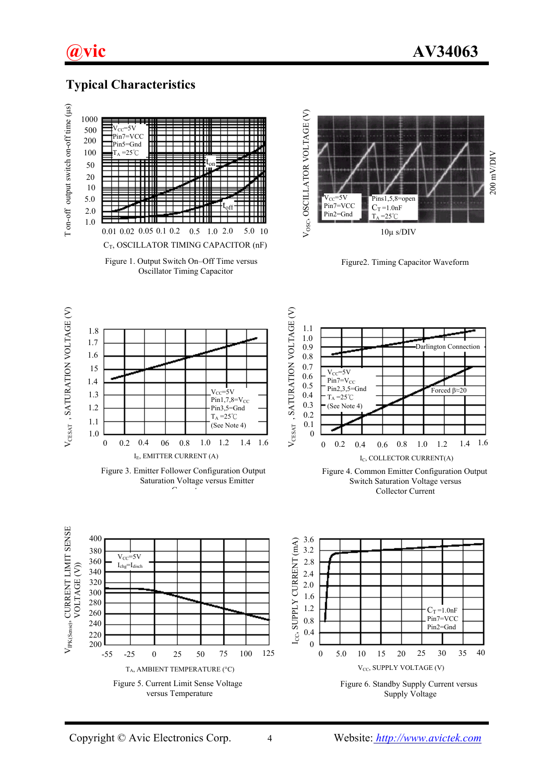

### **Typical Characteristics**



Oscillator Timing Capacitor



Figure2. Timing Capacitor Waveform



Figure 3. Emitter Follower Configuration Output Saturation Voltage versus Emitter  $\sim$ 





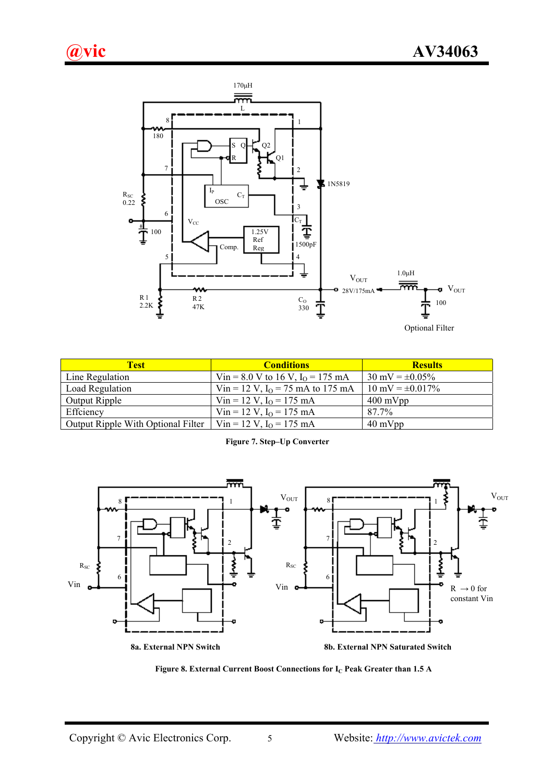

| <b>Test</b>                        | <b>Conditions</b>                   | <b>Results</b>                |
|------------------------------------|-------------------------------------|-------------------------------|
| Line Regulation                    | Vin = 8.0 V to 16 V, $I_0$ = 175 mA | $30 \text{ mV} = \pm 0.05\%$  |
| Load Regulation                    | Vin = 12 V, $I_0$ = 75 mA to 175 mA | $10 \text{ mV} = \pm 0.017\%$ |
| Output Ripple                      | Vin = 12 V, $I_0$ = 175 mA          | $400 \text{ mVpp}$            |
| Effciency                          | Vin = 12 V, $I_0$ = 175 mA          | 87.7%                         |
| Output Ripple With Optional Filter | Vin = 12 V, $I_0$ = 175 mA          | $40 \text{ mVpp}$             |

**Figure 7. Step–Up Converter** 



Figure 8. External Current Boost Connections for I<sub>C</sub> Peak Greater than 1.5 A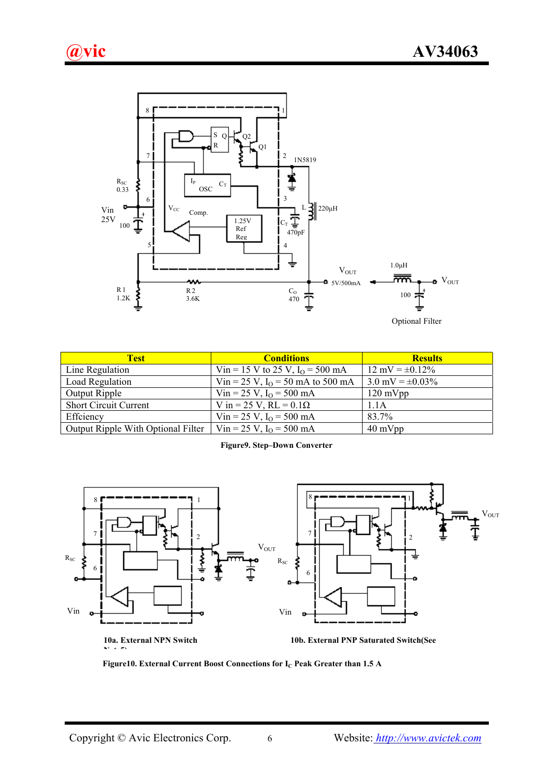



| <b>Test</b>                        | <b>Conditions</b>                            | <b>Results</b>                |
|------------------------------------|----------------------------------------------|-------------------------------|
| Line Regulation                    | Vin = 15 V to 25 V, $I_0$ = 500 mA           | $12 \text{ mV} = \pm 0.12\%$  |
| Load Regulation                    | Vin = 25 V, I <sub>O</sub> = 50 mA to 500 mA | $3.0 \text{ mV} = \pm 0.03\%$ |
| Output Ripple                      | Vin = 25 V, $I_0$ = 500 mA                   | $120 \text{ mVpp}$            |
| <b>Short Circuit Current</b>       | V in = 25 V, RL = $0.1\Omega$                | 1.1A                          |
| Effciency                          | Vin = 25 V, $I_0$ = 500 mA                   | 83.7%                         |
| Output Ripple With Optional Filter | Vin = 25 V, $I_0$ = 500 mA                   | $40 \text{ mVpp}$             |

**Figure9. Step–Down Converter** 



**NT**  $\neq$   $\neq$ 

**10a. External NPN Switch 10b. External PNP Saturated Switch(See** 

Figure10. External Current Boost Connections for I<sub>C</sub> Peak Greater than 1.5 A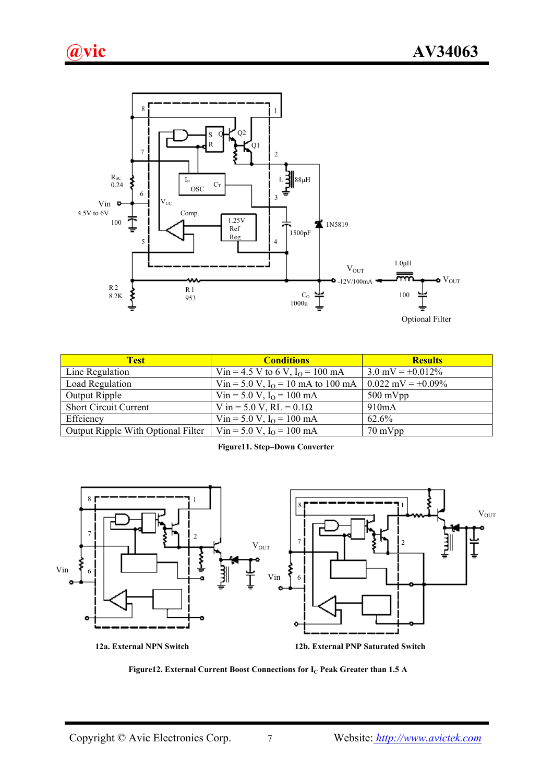

| <b>Test</b>                        | <b>Conditions</b>                             | <b>Results</b>                 |
|------------------------------------|-----------------------------------------------|--------------------------------|
| Line Regulation                    | Vin = 4.5 V to 6 V, $I_0$ = 100 mA            | $3.0 \text{ mV} = \pm 0.012\%$ |
| Load Regulation                    | Vin = 5.0 V, I <sub>O</sub> = 10 mA to 100 mA | $0.022$ mV = $\pm 0.09\%$      |
| Output Ripple                      | Vin = 5.0 V, $I_0$ = 100 mA                   | $500 \text{ mVpp}$             |
| <b>Short Circuit Current</b>       | V in = 5.0 V, RL = $0.1\Omega$                | 910mA                          |
| Effciency                          | Vin = 5.0 V, $I_0$ = 100 mA                   | 62.6%                          |
| Output Ripple With Optional Filter | Vin = 5.0 V, $I_0$ = 100 mA                   | 70 mVpp                        |

**Figure11. Step–Down Converter** 



Figure12. External Current Boost Connections for I<sub>C</sub> Peak Greater than 1.5 A